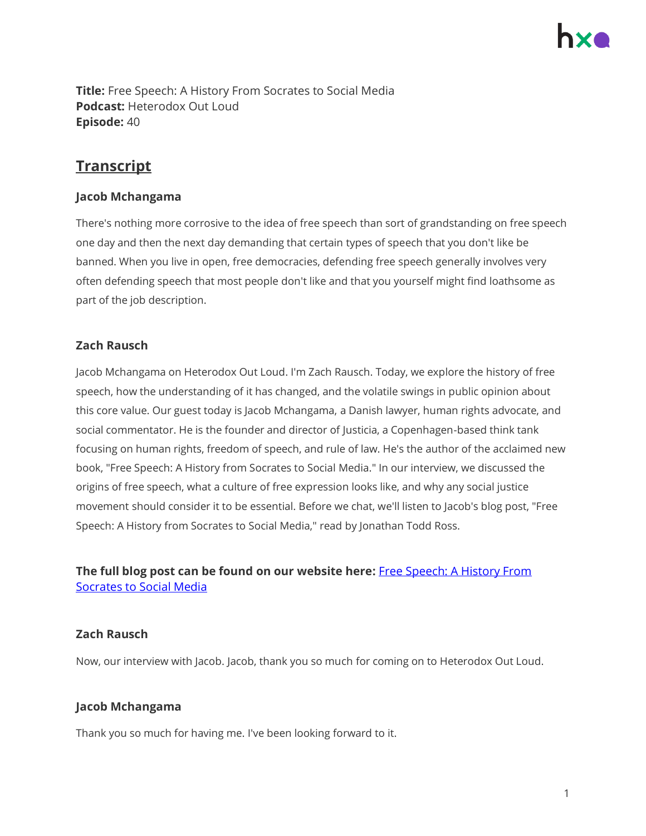**Title:** Free Speech: A History From Socrates to Social Media **Podcast:** Heterodox Out Loud **Episode:** 40

# **Transcript**

## **Jacob Mchangama**

There's nothing more corrosive to the idea of free speech than sort of grandstanding on free speech one day and then the next day demanding that certain types of speech that you don't like be banned. When you live in open, free democracies, defending free speech generally involves very often defending speech that most people don't like and that you yourself might find loathsome as part of the job description.

## **Zach Rausch**

Jacob Mchangama on Heterodox Out Loud. I'm Zach Rausch. Today, we explore the history of free speech, how the understanding of it has changed, and the volatile swings in public opinion about this core value. Our guest today is Jacob Mchangama, a Danish lawyer, human rights advocate, and social commentator. He is the founder and director of Justicia, a Copenhagen-based think tank focusing on human rights, freedom of speech, and rule of law. He's the author of the acclaimed new book, "Free Speech: A History from Socrates to Social Media." In our interview, we discussed the origins of free speech, what a culture of free expression looks like, and why any social justice movement should consider it to be essential. Before we chat, we'll listen to Jacob's blog post, "Free Speech: A History from Socrates to Social Media," read by Jonathan Todd Ross.

## **The full blog post can be found on our website here:** [Free Speech: A History From](https://heterodoxacademy.org/blog/free-speech-a-history-from-socrates-to-social-media/)  [Socrates to Social Media](https://heterodoxacademy.org/blog/free-speech-a-history-from-socrates-to-social-media/)

## **Zach Rausch**

Now, our interview with Jacob. Jacob, thank you so much for coming on to Heterodox Out Loud.

## **Jacob Mchangama**

Thank you so much for having me. I've been looking forward to it.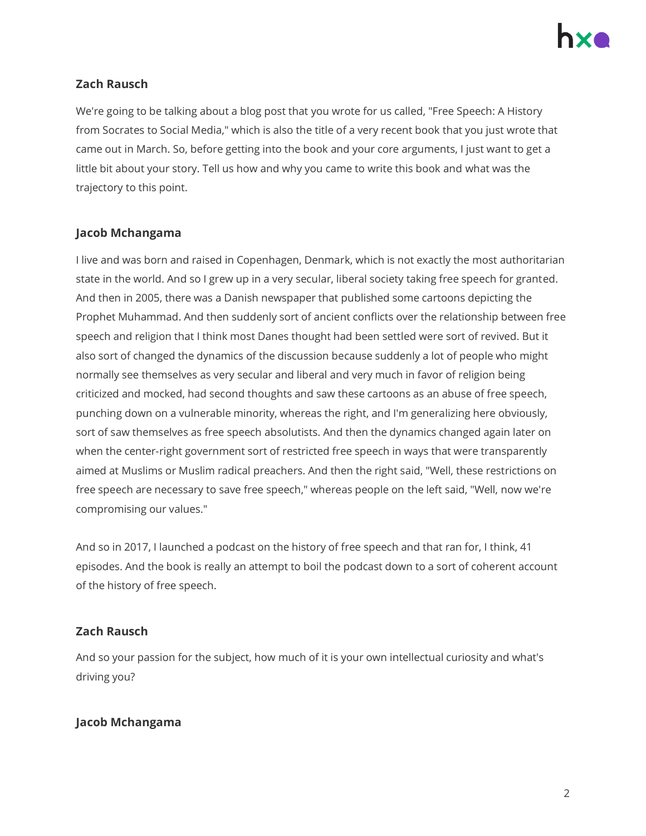

## **Zach Rausch**

We're going to be talking about a blog post that you wrote for us called, "Free Speech: A History from Socrates to Social Media," which is also the title of a very recent book that you just wrote that came out in March. So, before getting into the book and your core arguments, I just want to get a little bit about your story. Tell us how and why you came to write this book and what was the trajectory to this point.

#### **Jacob Mchangama**

I live and was born and raised in Copenhagen, Denmark, which is not exactly the most authoritarian state in the world. And so I grew up in a very secular, liberal society taking free speech for granted. And then in 2005, there was a Danish newspaper that published some cartoons depicting the Prophet Muhammad. And then suddenly sort of ancient conflicts over the relationship between free speech and religion that I think most Danes thought had been settled were sort of revived. But it also sort of changed the dynamics of the discussion because suddenly a lot of people who might normally see themselves as very secular and liberal and very much in favor of religion being criticized and mocked, had second thoughts and saw these cartoons as an abuse of free speech, punching down on a vulnerable minority, whereas the right, and I'm generalizing here obviously, sort of saw themselves as free speech absolutists. And then the dynamics changed again later on when the center-right government sort of restricted free speech in ways that were transparently aimed at Muslims or Muslim radical preachers. And then the right said, "Well, these restrictions on free speech are necessary to save free speech," whereas people on the left said, "Well, now we're compromising our values."

And so in 2017, I launched a podcast on the history of free speech and that ran for, I think, 41 episodes. And the book is really an attempt to boil the podcast down to a sort of coherent account of the history of free speech.

#### **Zach Rausch**

And so your passion for the subject, how much of it is your own intellectual curiosity and what's driving you?

## **Jacob Mchangama**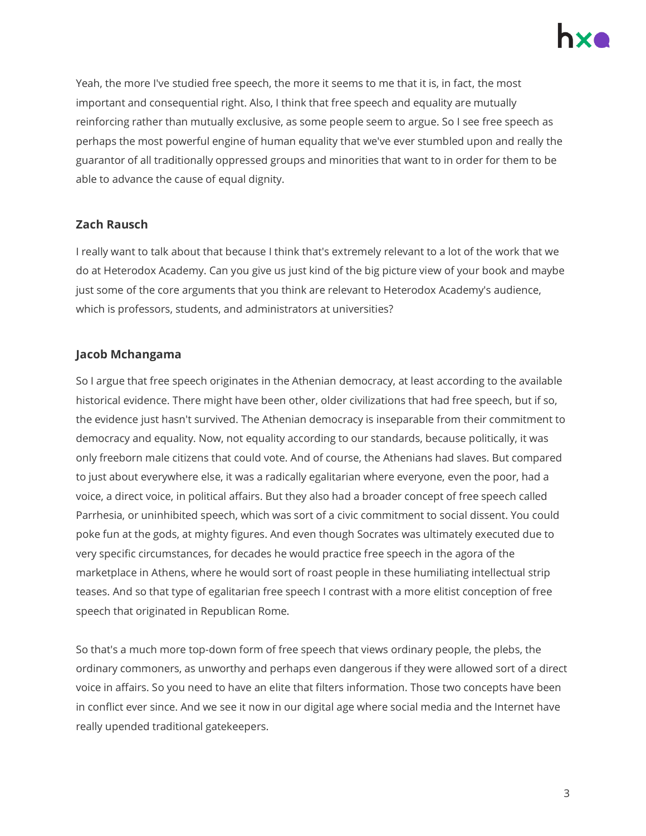

Yeah, the more I've studied free speech, the more it seems to me that it is, in fact, the most important and consequential right. Also, I think that free speech and equality are mutually reinforcing rather than mutually exclusive, as some people seem to argue. So I see free speech as perhaps the most powerful engine of human equality that we've ever stumbled upon and really the guarantor of all traditionally oppressed groups and minorities that want to in order for them to be able to advance the cause of equal dignity.

#### **Zach Rausch**

I really want to talk about that because I think that's extremely relevant to a lot of the work that we do at Heterodox Academy. Can you give us just kind of the big picture view of your book and maybe just some of the core arguments that you think are relevant to Heterodox Academy's audience, which is professors, students, and administrators at universities?

#### **Jacob Mchangama**

So I argue that free speech originates in the Athenian democracy, at least according to the available historical evidence. There might have been other, older civilizations that had free speech, but if so, the evidence just hasn't survived. The Athenian democracy is inseparable from their commitment to democracy and equality. Now, not equality according to our standards, because politically, it was only freeborn male citizens that could vote. And of course, the Athenians had slaves. But compared to just about everywhere else, it was a radically egalitarian where everyone, even the poor, had a voice, a direct voice, in political affairs. But they also had a broader concept of free speech called Parrhesia, or uninhibited speech, which was sort of a civic commitment to social dissent. You could poke fun at the gods, at mighty figures. And even though Socrates was ultimately executed due to very specific circumstances, for decades he would practice free speech in the agora of the marketplace in Athens, where he would sort of roast people in these humiliating intellectual strip teases. And so that type of egalitarian free speech I contrast with a more elitist conception of free speech that originated in Republican Rome.

So that's a much more top-down form of free speech that views ordinary people, the plebs, the ordinary commoners, as unworthy and perhaps even dangerous if they were allowed sort of a direct voice in affairs. So you need to have an elite that filters information. Those two concepts have been in conflict ever since. And we see it now in our digital age where social media and the Internet have really upended traditional gatekeepers.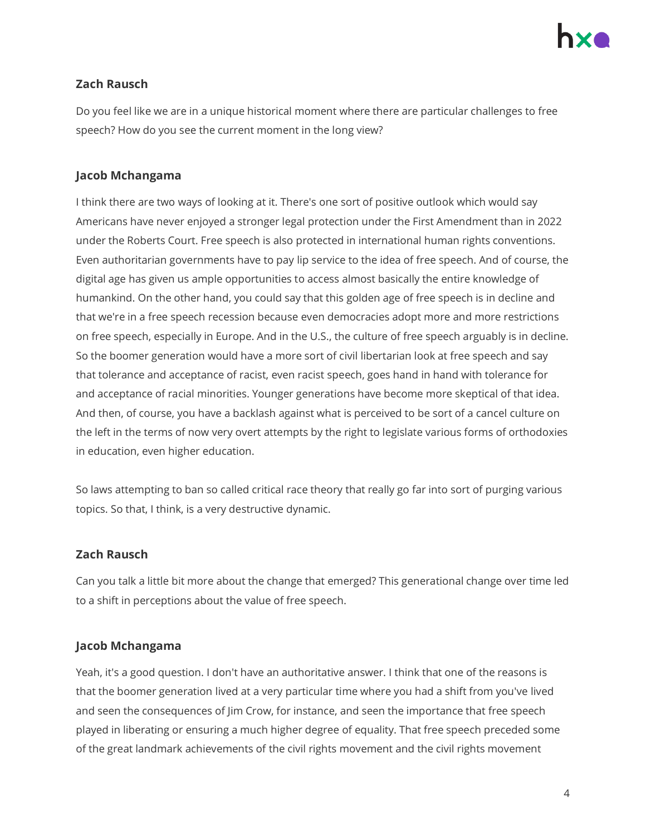## **Zach Rausch**

Do you feel like we are in a unique historical moment where there are particular challenges to free speech? How do you see the current moment in the long view?

## **Jacob Mchangama**

I think there are two ways of looking at it. There's one sort of positive outlook which would say Americans have never enjoyed a stronger legal protection under the First Amendment than in 2022 under the Roberts Court. Free speech is also protected in international human rights conventions. Even authoritarian governments have to pay lip service to the idea of free speech. And of course, the digital age has given us ample opportunities to access almost basically the entire knowledge of humankind. On the other hand, you could say that this golden age of free speech is in decline and that we're in a free speech recession because even democracies adopt more and more restrictions on free speech, especially in Europe. And in the U.S., the culture of free speech arguably is in decline. So the boomer generation would have a more sort of civil libertarian look at free speech and say that tolerance and acceptance of racist, even racist speech, goes hand in hand with tolerance for and acceptance of racial minorities. Younger generations have become more skeptical of that idea. And then, of course, you have a backlash against what is perceived to be sort of a cancel culture on the left in the terms of now very overt attempts by the right to legislate various forms of orthodoxies in education, even higher education.

So laws attempting to ban so called critical race theory that really go far into sort of purging various topics. So that, I think, is a very destructive dynamic.

## **Zach Rausch**

Can you talk a little bit more about the change that emerged? This generational change over time led to a shift in perceptions about the value of free speech.

## **Jacob Mchangama**

Yeah, it's a good question. I don't have an authoritative answer. I think that one of the reasons is that the boomer generation lived at a very particular time where you had a shift from you've lived and seen the consequences of Jim Crow, for instance, and seen the importance that free speech played in liberating or ensuring a much higher degree of equality. That free speech preceded some of the great landmark achievements of the civil rights movement and the civil rights movement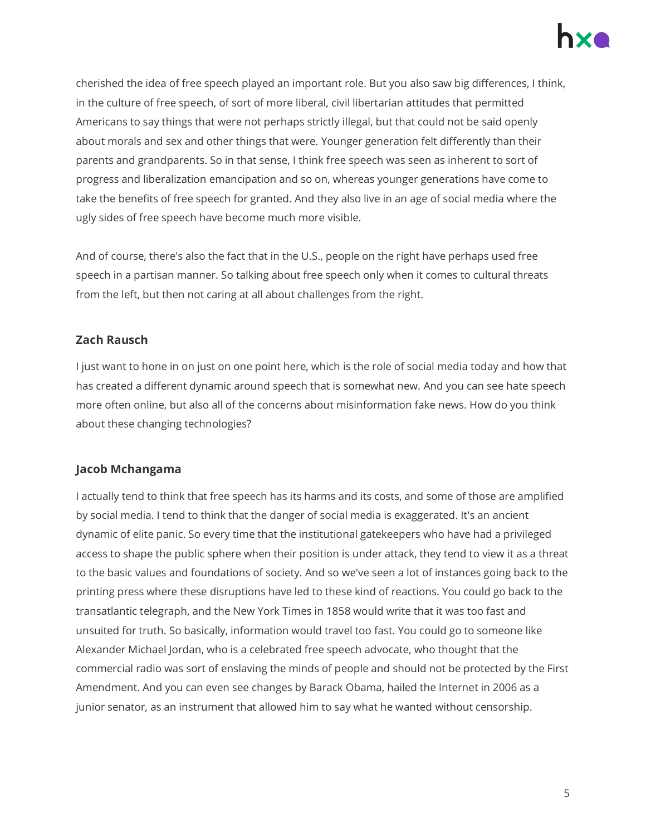

cherished the idea of free speech played an important role. But you also saw big differences, I think, in the culture of free speech, of sort of more liberal, civil libertarian attitudes that permitted Americans to say things that were not perhaps strictly illegal, but that could not be said openly about morals and sex and other things that were. Younger generation felt differently than their parents and grandparents. So in that sense, I think free speech was seen as inherent to sort of progress and liberalization emancipation and so on, whereas younger generations have come to take the benefits of free speech for granted. And they also live in an age of social media where the ugly sides of free speech have become much more visible.

And of course, there's also the fact that in the U.S., people on the right have perhaps used free speech in a partisan manner. So talking about free speech only when it comes to cultural threats from the left, but then not caring at all about challenges from the right.

#### **Zach Rausch**

I just want to hone in on just on one point here, which is the role of social media today and how that has created a different dynamic around speech that is somewhat new. And you can see hate speech more often online, but also all of the concerns about misinformation fake news. How do you think about these changing technologies?

#### **Jacob Mchangama**

I actually tend to think that free speech has its harms and its costs, and some of those are amplified by social media. I tend to think that the danger of social media is exaggerated. It's an ancient dynamic of elite panic. So every time that the institutional gatekeepers who have had a privileged access to shape the public sphere when their position is under attack, they tend to view it as a threat to the basic values and foundations of society. And so we've seen a lot of instances going back to the printing press where these disruptions have led to these kind of reactions. You could go back to the transatlantic telegraph, and the New York Times in 1858 would write that it was too fast and unsuited for truth. So basically, information would travel too fast. You could go to someone like Alexander Michael Jordan, who is a celebrated free speech advocate, who thought that the commercial radio was sort of enslaving the minds of people and should not be protected by the First Amendment. And you can even see changes by Barack Obama, hailed the Internet in 2006 as a junior senator, as an instrument that allowed him to say what he wanted without censorship.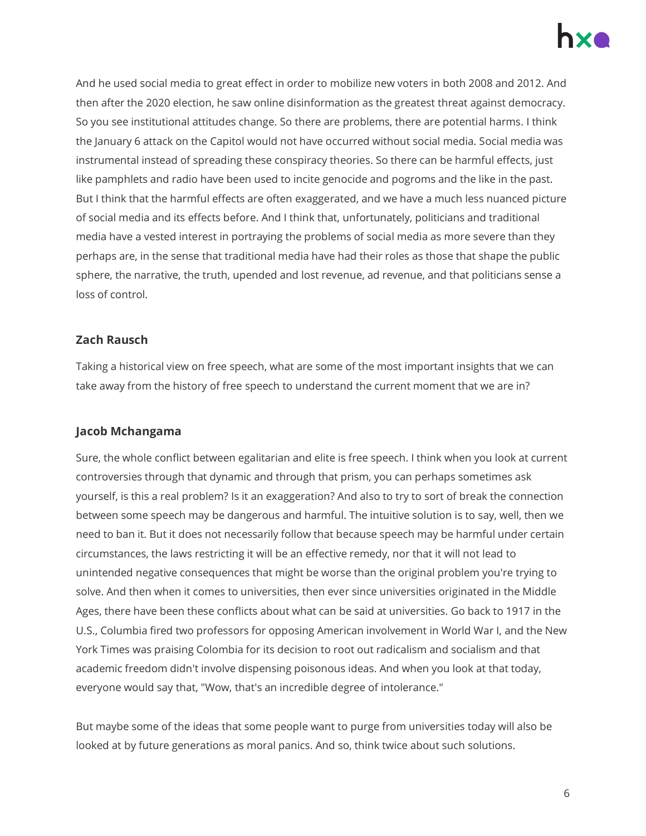

And he used social media to great effect in order to mobilize new voters in both 2008 and 2012. And then after the 2020 election, he saw online disinformation as the greatest threat against democracy. So you see institutional attitudes change. So there are problems, there are potential harms. I think the January 6 attack on the Capitol would not have occurred without social media. Social media was instrumental instead of spreading these conspiracy theories. So there can be harmful effects, just like pamphlets and radio have been used to incite genocide and pogroms and the like in the past. But I think that the harmful effects are often exaggerated, and we have a much less nuanced picture of social media and its effects before. And I think that, unfortunately, politicians and traditional media have a vested interest in portraying the problems of social media as more severe than they perhaps are, in the sense that traditional media have had their roles as those that shape the public sphere, the narrative, the truth, upended and lost revenue, ad revenue, and that politicians sense a loss of control.

#### **Zach Rausch**

Taking a historical view on free speech, what are some of the most important insights that we can take away from the history of free speech to understand the current moment that we are in?

## **Jacob Mchangama**

Sure, the whole conflict between egalitarian and elite is free speech. I think when you look at current controversies through that dynamic and through that prism, you can perhaps sometimes ask yourself, is this a real problem? Is it an exaggeration? And also to try to sort of break the connection between some speech may be dangerous and harmful. The intuitive solution is to say, well, then we need to ban it. But it does not necessarily follow that because speech may be harmful under certain circumstances, the laws restricting it will be an effective remedy, nor that it will not lead to unintended negative consequences that might be worse than the original problem you're trying to solve. And then when it comes to universities, then ever since universities originated in the Middle Ages, there have been these conflicts about what can be said at universities. Go back to 1917 in the U.S., Columbia fired two professors for opposing American involvement in World War I, and the New York Times was praising Colombia for its decision to root out radicalism and socialism and that academic freedom didn't involve dispensing poisonous ideas. And when you look at that today, everyone would say that, "Wow, that's an incredible degree of intolerance."

But maybe some of the ideas that some people want to purge from universities today will also be looked at by future generations as moral panics. And so, think twice about such solutions.